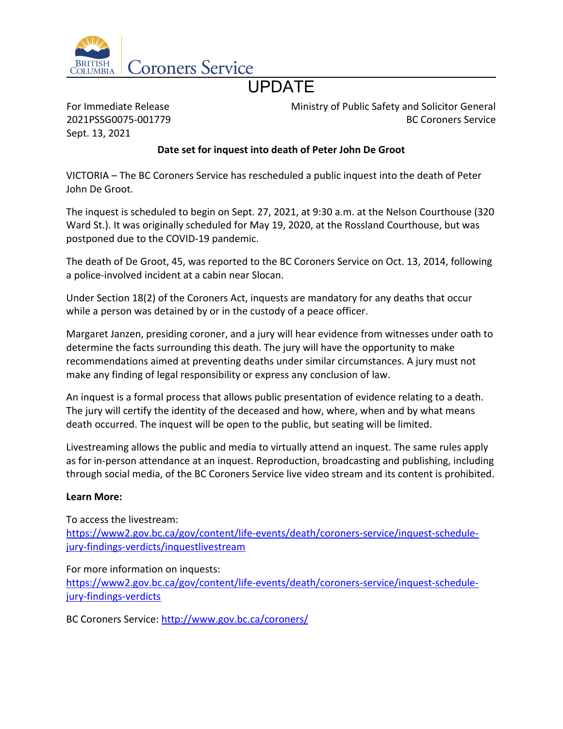

## UPDATE

For Immediate Release 2021PSSG0075-001779 Sept. 13, 2021

Ministry of Public Safety and Solicitor General BC Coroners Service

## **Date set for inquest into death of Peter John De Groot**

VICTORIA – The BC Coroners Service has rescheduled a public inquest into the death of Peter John De Groot.

The inquest is scheduled to begin on Sept. 27, 2021, at 9:30 a.m. at the Nelson Courthouse (320 Ward St.). It was originally scheduled for May 19, 2020, at the Rossland Courthouse, but was postponed due to the COVID-19 pandemic.

The death of De Groot, 45, was reported to the BC Coroners Service on Oct. 13, 2014, following a police-involved incident at a cabin near Slocan.

Under Section 18(2) of the Coroners Act, inquests are mandatory for any deaths that occur while a person was detained by or in the custody of a peace officer.

Margaret Janzen, presiding coroner, and a jury will hear evidence from witnesses under oath to determine the facts surrounding this death. The jury will have the opportunity to make recommendations aimed at preventing deaths under similar circumstances. A jury must not make any finding of legal responsibility or express any conclusion of law.

An inquest is a formal process that allows public presentation of evidence relating to a death. The jury will certify the identity of the deceased and how, where, when and by what means death occurred. The inquest will be open to the public, but seating will be limited.

Livestreaming allows the public and media to virtually attend an inquest. The same rules apply as for in-person attendance at an inquest. Reproduction, broadcasting and publishing, including through social media, of the BC Coroners Service live video stream and its content is prohibited.

## **Learn More:**

To access the livestream: [https://www2.gov.bc.ca/gov/content/life-events/death/coroners-service/inquest-schedule](https://www2.gov.bc.ca/gov/content/life-events/death/coroners-service/inquest-schedule-jury-findings-verdicts/inquestlivestream)[jury-findings-verdicts/inquestlivestream](https://www2.gov.bc.ca/gov/content/life-events/death/coroners-service/inquest-schedule-jury-findings-verdicts/inquestlivestream)

For more information on inquests:

[https://www2.gov.bc.ca/gov/content/life-events/death/coroners-service/inquest-schedule](https://www2.gov.bc.ca/gov/content/life-events/death/coroners-service/inquest-schedule-jury-findings-verdicts)[jury-findings-verdicts](https://www2.gov.bc.ca/gov/content/life-events/death/coroners-service/inquest-schedule-jury-findings-verdicts)

BC Coroners Service: <http://www.gov.bc.ca/coroners/>